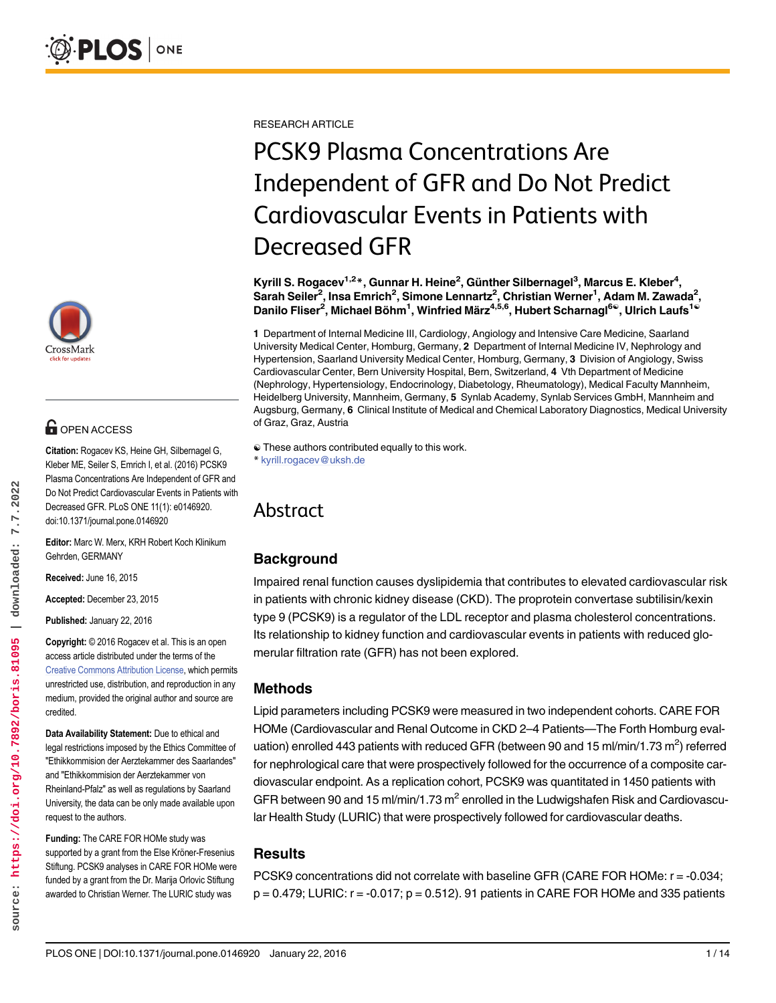

# **G** OPEN ACCESS

Citation: Rogacev KS, Heine GH, Silbernagel G, Kleber ME, Seiler S, Emrich I, et al. (2016) PCSK9 Plasma Concentrations Are Independent of GFR and Do Not Predict Cardiovascular Events in Patients with Decreased GFR. PLoS ONE 11(1): e0146920. doi:10.1371/journal.pone.0146920

Editor: Marc W. Merx, KRH Robert Koch Klinikum Gehrden, GERMANY

Received: June 16, 2015

Accepted: December 23, 2015

Published: January 22, 2016

Copyright: © 2016 Rogacev et al. This is an open access article distributed under the terms of the [Creative Commons Attribution License,](http://creativecommons.org/licenses/by/4.0/) which permits unrestricted use, distribution, and reproduction in any medium, provided the original author and source are credited.

Data Availability Statement: Due to ethical and legal restrictions imposed by the Ethics Committee of "Ethikkommision der Aerztekammer des Saarlandes" and "Ethikkommision der Aerztekammer von Rheinland-Pfalz" as well as regulations by Saarland University, the data can be only made available upon request to the authors.

Funding: The CARE FOR HOMe study was supported by a grant from the Else Kröner-Fresenius Stiftung. PCSK9 analyses in CARE FOR HOMe were funded by a grant from the Dr. Marija Orlovic Stiftung awarded to Christian Werner. The LURIC study was

RESEARCH ARTICLE

# PCSK9 Plasma Concentrations Are Independent of GFR and Do Not Predict Cardiovascular Events in Patients with Decreased GFR

Kyrill S. Rogacev<sup>1,2</sup>\*, Gunnar H. Heine<sup>2</sup>, Günther Silbernagel<sup>3</sup>, Marcus E. Kleber<sup>4</sup>, Sarah Seiler $^2$ , Insa Emrich $^2$ , Simone Lennartz $^2$ , Christian Werner $^1$ , Adam M. Zawada $^2$ , Danilo Fliser<sup>2</sup>, Michael Böhm<sup>1</sup>, Winfried März<sup>4,5,6</sup>, Hubert Scharnagl<sup>6©</sup>, Ulrich Laufs<sup>1©</sup>

1 Department of Internal Medicine III, Cardiology, Angiology and Intensive Care Medicine, Saarland University Medical Center, Homburg, Germany, 2 Department of Internal Medicine IV, Nephrology and Hypertension, Saarland University Medical Center, Homburg, Germany, 3 Division of Angiology, Swiss Cardiovascular Center, Bern University Hospital, Bern, Switzerland, 4 Vth Department of Medicine (Nephrology, Hypertensiology, Endocrinology, Diabetology, Rheumatology), Medical Faculty Mannheim, Heidelberg University, Mannheim, Germany, 5 Synlab Academy, Synlab Services GmbH, Mannheim and Augsburg, Germany, 6 Clinical Institute of Medical and Chemical Laboratory Diagnostics, Medical University of Graz, Graz, Austria

# Abstract

# **Background**

Impaired renal function causes dyslipidemia that contributes to elevated cardiovascular risk in patients with chronic kidney disease (CKD). The proprotein convertase subtilisin/kexin type 9 (PCSK9) is a regulator of the LDL receptor and plasma cholesterol concentrations. Its relationship to kidney function and cardiovascular events in patients with reduced glomerular filtration rate (GFR) has not been explored.

## Methods

Lipid parameters including PCSK9 were measured in two independent cohorts. CARE FOR HOMe (Cardiovascular and Renal Outcome in CKD 2–4 Patients—The Forth Homburg evaluation) enrolled 443 patients with reduced GFR (between 90 and 15 ml/min/1.73 m<sup>2</sup>) referred for nephrological care that were prospectively followed for the occurrence of a composite cardiovascular endpoint. As a replication cohort, PCSK9 was quantitated in 1450 patients with GFR between 90 and 15 ml/min/1.73  $m^2$  enrolled in the Ludwigshafen Risk and Cardiovascular Health Study (LURIC) that were prospectively followed for cardiovascular deaths.

## **Results**

PCSK9 concentrations did not correlate with baseline GFR (CARE FOR HOMe: r = -0.034;  $p = 0.479$ ; LURIC:  $r = -0.017$ ;  $p = 0.512$ ). 91 patients in CARE FOR HOMe and 335 patients

<sup>☯</sup> These authors contributed equally to this work. \* kyrill.rogacev@uksh.de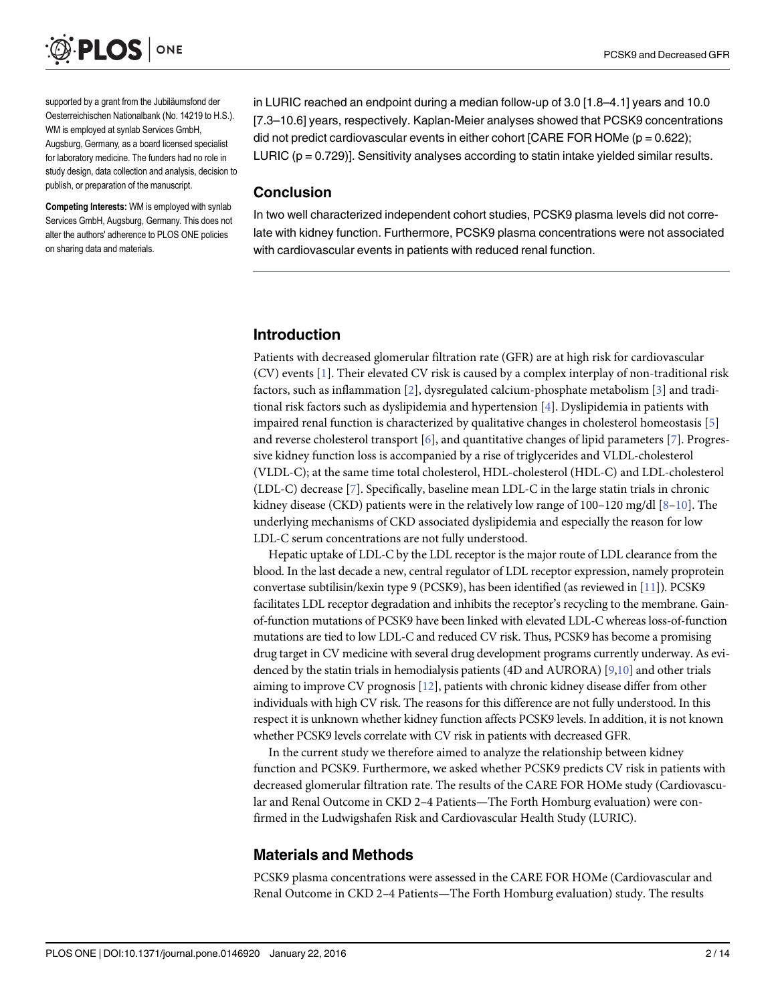

supported by a grant from the Jubiläumsfond der Oesterreichischen Nationalbank (No. 14219 to H.S.). WM is employed at synlab Services GmbH, Augsburg, Germany, as a board licensed specialist for laboratory medicine. The funders had no role in study design, data collection and analysis, decision to publish, or preparation of the manuscript.

Competing Interests: WM is employed with synlab Services GmbH, Augsburg, Germany. This does not alter the authors' adherence to PLOS ONE policies on sharing data and materials.

in LURIC reached an endpoint during a median follow-up of 3.0 [1.8–4.1] years and 10.0 [7.3–10.6] years, respectively. Kaplan-Meier analyses showed that PCSK9 concentrations did not predict cardiovascular events in either cohort [CARE FOR HOMe ( $p = 0.622$ ); LURIC  $(p = 0.729)$ ]. Sensitivity analyses according to statin intake yielded similar results.

#### Conclusion

In two well characterized independent cohort studies, PCSK9 plasma levels did not correlate with kidney function. Furthermore, PCSK9 plasma concentrations were not associated with cardiovascular events in patients with reduced renal function.

#### Introduction

Patients with decreased glomerular filtration rate (GFR) are at high risk for cardiovascular (CV) events [1]. Their elevated CV risk is caused by a complex interplay of non-traditional risk factors, such as inflammation [2], dysregulated calcium-phosphate metabolism [3] and traditional risk factors such as dyslipidemia and hypertension [4]. Dyslipidemia in patients with impaired renal function is characterized by qualitative changes in cholesterol homeostasis [5] and reverse cholesterol transport  $[6]$ , and quantitative changes of lipid parameters [7]. Progressive kidney function loss is accompanied by a rise of triglycerides and VLDL-cholesterol (VLDL-C); at the same time total cholesterol, HDL-cholesterol (HDL-C) and LDL-cholesterol (LDL-C) decrease [7]. Specifically, baseline mean LDL-C in the large statin trials in chronic kidney disease (CKD) patients were in the relatively low range of  $100-120$  mg/dl  $[8-10]$ . The underlying mechanisms of CKD associated dyslipidemia and especially the reason for low LDL-C serum concentrations are not fully understood.

Hepatic uptake of LDL-C by the LDL receptor is the major route of LDL clearance from the blood. In the last decade a new, central regulator of LDL receptor expression, namely proprotein convertase subtilisin/kexin type 9 (PCSK9), has been identified (as reviewed in [11]). PCSK9 facilitates LDL receptor degradation and inhibits the receptor's recycling to the membrane. Gainof-function mutations of PCSK9 have been linked with elevated LDL-C whereas loss-of-function mutations are tied to low LDL-C and reduced CV risk. Thus, PCSK9 has become a promising drug target in CV medicine with several drug development programs currently underway. As evidenced by the statin trials in hemodialysis patients (4D and AURORA) [\[9,](#page-12-0)10] and other trials aiming to improve CV prognosis [12], patients with chronic kidney disease differ from other individuals with high CV risk. The reasons for this difference are not fully understood. In this respect it is unknown whether kidney function affects PCSK9 levels. In addition, it is not known whether PCSK9 levels correlate with CV risk in patients with decreased GFR.

In the current study we therefore aimed to analyze the relationship between kidney function and PCSK9. Furthermore, we asked whether PCSK9 predicts CV risk in patients with decreased glomerular filtration rate. The results of the CARE FOR HOMe study (Cardiovascular and Renal Outcome in CKD 2–4 Patients—The Forth Homburg evaluation) were confirmed in the Ludwigshafen Risk and Cardiovascular Health Study (LURIC).

#### Materials and Methods

PCSK9 plasma concentrations were assessed in the CARE FOR HOMe (Cardiovascular and Renal Outcome in CKD 2–4 Patients—The Forth Homburg evaluation) study. The results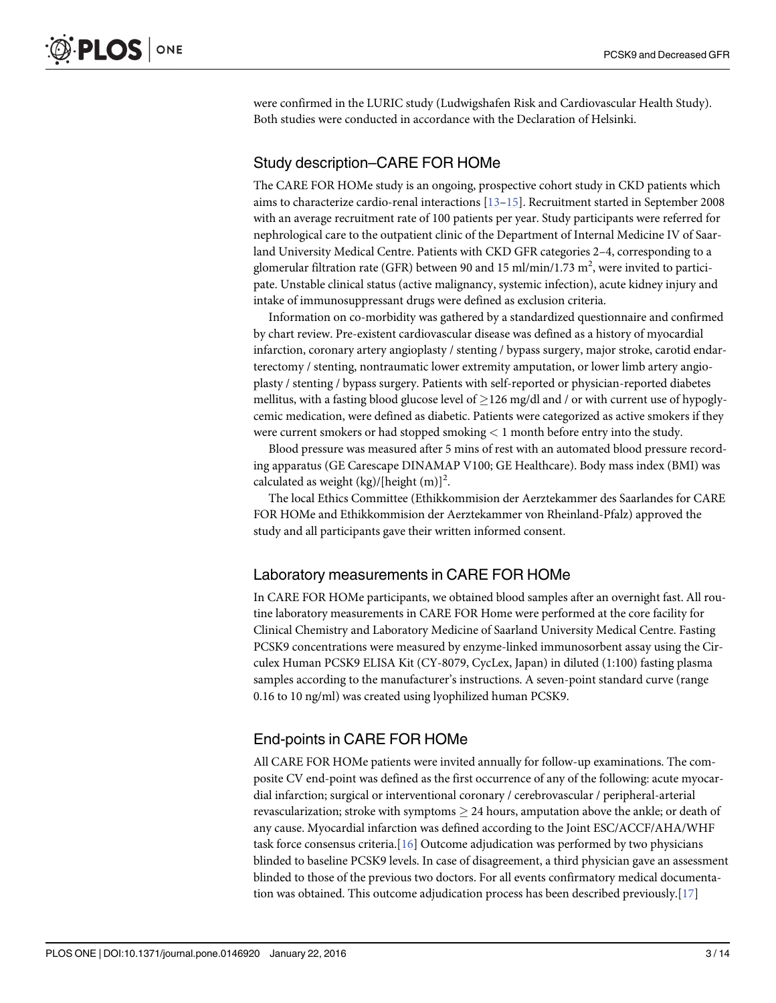were confirmed in the LURIC study (Ludwigshafen Risk and Cardiovascular Health Study). Both studies were conducted in accordance with the Declaration of Helsinki.

### Study description–CARE FOR HOMe

The CARE FOR HOMe study is an ongoing, prospective cohort study in CKD patients which aims to characterize cardio-renal interactions [13–15]. Recruitment started in September 2008 with an average recruitment rate of 100 patients per year. Study participants were referred for nephrological care to the outpatient clinic of the Department of Internal Medicine IV of Saarland University Medical Centre. Patients with CKD GFR categories 2–4, corresponding to a glomerular filtration rate (GFR) between 90 and 15 ml/min/1.73  $\text{m}^2$ , were invited to participate. Unstable clinical status (active malignancy, systemic infection), acute kidney injury and intake of immunosuppressant drugs were defined as exclusion criteria.

Information on co-morbidity was gathered by a standardized questionnaire and confirmed by chart review. Pre-existent cardiovascular disease was defined as a history of myocardial infarction, coronary artery angioplasty / stenting / bypass surgery, major stroke, carotid endarterectomy / stenting, nontraumatic lower extremity amputation, or lower limb artery angioplasty / stenting / bypass surgery. Patients with self-reported or physician-reported diabetes mellitus, with a fasting blood glucose level of  $>126$  mg/dl and / or with current use of hypoglycemic medication, were defined as diabetic. Patients were categorized as active smokers if they were current smokers or had stopped smoking < 1 month before entry into the study.

Blood pressure was measured after 5 mins of rest with an automated blood pressure recording apparatus (GE Carescape DINAMAP V100; GE Healthcare). Body mass index (BMI) was calculated as weight (kg)/[height  $(m)]<sup>2</sup>$ .

The local Ethics Committee (Ethikkommision der Aerztekammer des Saarlandes for CARE FOR HOMe and Ethikkommision der Aerztekammer von Rheinland-Pfalz) approved the study and all participants gave their written informed consent.

#### Laboratory measurements in CARE FOR HOMe

In CARE FOR HOMe participants, we obtained blood samples after an overnight fast. All routine laboratory measurements in CARE FOR Home were performed at the core facility for Clinical Chemistry and Laboratory Medicine of Saarland University Medical Centre. Fasting PCSK9 concentrations were measured by enzyme-linked immunosorbent assay using the Circulex Human PCSK9 ELISA Kit (CY-8079, CycLex, Japan) in diluted (1:100) fasting plasma samples according to the manufacturer's instructions. A seven-point standard curve (range 0.16 to 10 ng/ml) was created using lyophilized human PCSK9.

#### End-points in CARE FOR HOMe

All CARE FOR HOMe patients were invited annually for follow-up examinations. The composite CV end-point was defined as the first occurrence of any of the following: acute myocardial infarction; surgical or interventional coronary / cerebrovascular / peripheral-arterial revascularization; stroke with symptoms  $\geq$  24 hours, amputation above the ankle; or death of any cause. Myocardial infarction was defined according to the Joint ESC/ACCF/AHA/WHF task force consensus criteria.[16] Outcome adjudication was performed by two physicians blinded to baseline PCSK9 levels. In case of disagreement, a third physician gave an assessment blinded to those of the previous two doctors. For all events confirmatory medical documentation was obtained. This outcome adjudication process has been described previously.[17]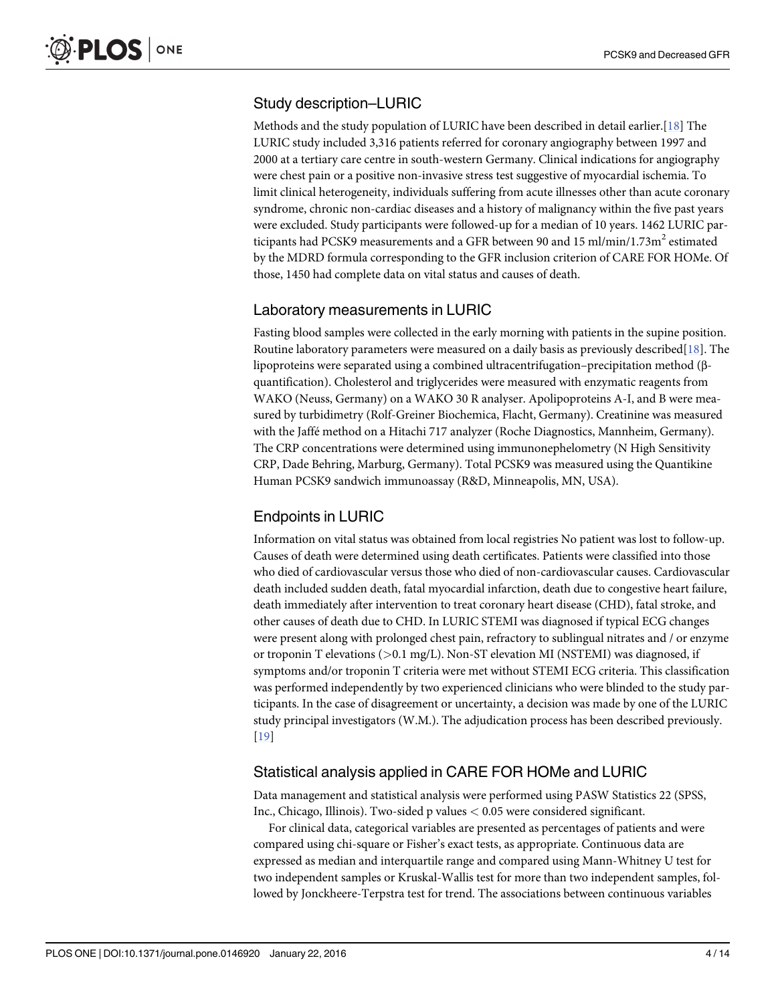### Study description–LURIC

Methods and the study population of LURIC have been described in detail earlier.[18] The LURIC study included 3,316 patients referred for coronary angiography between 1997 and 2000 at a tertiary care centre in south-western Germany. Clinical indications for angiography were chest pain or a positive non-invasive stress test suggestive of myocardial ischemia. To limit clinical heterogeneity, individuals suffering from acute illnesses other than acute coronary syndrome, chronic non-cardiac diseases and a history of malignancy within the five past years were excluded. Study participants were followed-up for a median of 10 years. 1462 LURIC participants had PCSK9 measurements and a GFR between 90 and 15 ml/min/1.73 $m<sup>2</sup>$  estimated by the MDRD formula corresponding to the GFR inclusion criterion of CARE FOR HOMe. Of those, 1450 had complete data on vital status and causes of death.

#### Laboratory measurements in LURIC

Fasting blood samples were collected in the early morning with patients in the supine position. Routine laboratory parameters were measured on a daily basis as previously described $[18]$ . The lipoproteins were separated using a combined ultracentrifugation–precipitation method (βquantification). Cholesterol and triglycerides were measured with enzymatic reagents from WAKO (Neuss, Germany) on a WAKO 30 R analyser. Apolipoproteins A-I, and B were measured by turbidimetry (Rolf-Greiner Biochemica, Flacht, Germany). Creatinine was measured with the Jaffé method on a Hitachi 717 analyzer (Roche Diagnostics, Mannheim, Germany). The CRP concentrations were determined using immunonephelometry (N High Sensitivity CRP, Dade Behring, Marburg, Germany). Total PCSK9 was measured using the Quantikine Human PCSK9 sandwich immunoassay (R&D, Minneapolis, MN, USA).

#### Endpoints in LURIC

Information on vital status was obtained from local registries No patient was lost to follow-up. Causes of death were determined using death certificates. Patients were classified into those who died of cardiovascular versus those who died of non-cardiovascular causes. Cardiovascular death included sudden death, fatal myocardial infarction, death due to congestive heart failure, death immediately after intervention to treat coronary heart disease (CHD), fatal stroke, and other causes of death due to CHD. In LURIC STEMI was diagnosed if typical ECG changes were present along with prolonged chest pain, refractory to sublingual nitrates and / or enzyme or troponin T elevations ( $>0.1$  mg/L). Non-ST elevation MI (NSTEMI) was diagnosed, if symptoms and/or troponin T criteria were met without STEMI ECG criteria. This classification was performed independently by two experienced clinicians who were blinded to the study participants. In the case of disagreement or uncertainty, a decision was made by one of the LURIC study principal investigators (W.M.). The adjudication process has been described previously. [19]

#### Statistical analysis applied in CARE FOR HOMe and LURIC

Data management and statistical analysis were performed using PASW Statistics 22 (SPSS, Inc., Chicago, Illinois). Two-sided p values < 0.05 were considered significant.

For clinical data, categorical variables are presented as percentages of patients and were compared using chi-square or Fisher's exact tests, as appropriate. Continuous data are expressed as median and interquartile range and compared using Mann-Whitney U test for two independent samples or Kruskal-Wallis test for more than two independent samples, followed by Jonckheere-Terpstra test for trend. The associations between continuous variables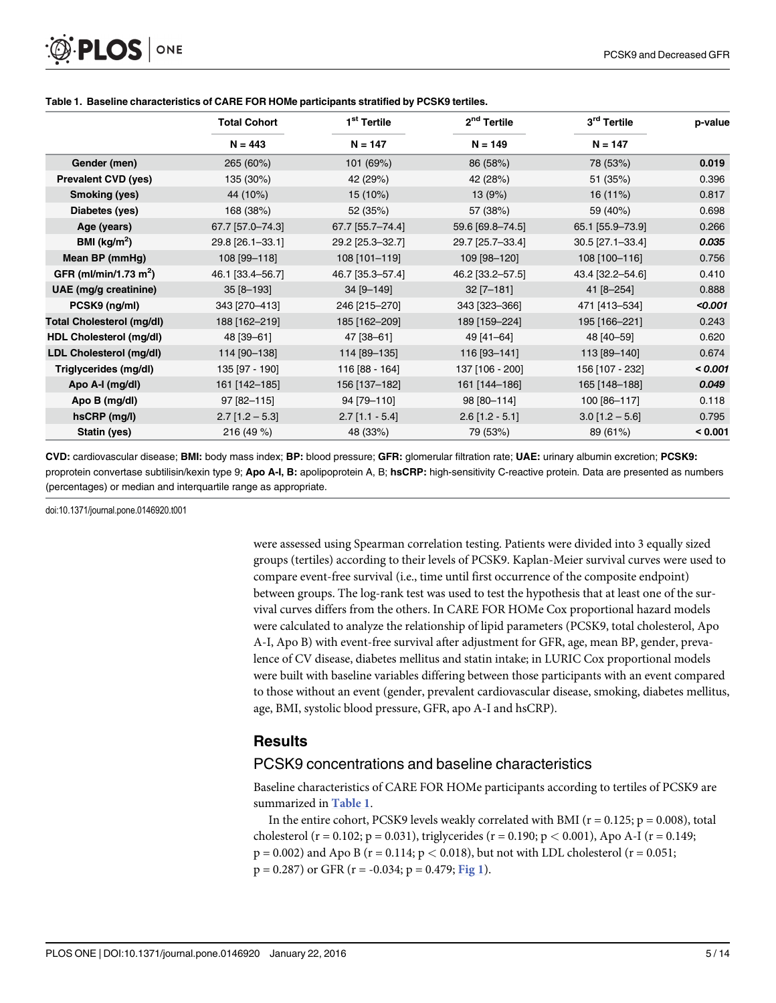|                                   | <b>Total Cohort</b> | 1 <sup>st</sup> Tertile | 2 <sup>nd</sup> Tertile | 3 <sup>rd</sup> Tertile | p-value |
|-----------------------------------|---------------------|-------------------------|-------------------------|-------------------------|---------|
|                                   | $N = 443$           | $N = 147$               | $N = 149$               | $N = 147$               |         |
| Gender (men)                      | 265 (60%)           | 101 (69%)               | 86 (58%)                | 78 (53%)                | 0.019   |
| <b>Prevalent CVD (yes)</b>        | 135 (30%)           | 42 (29%)                | 42 (28%)                | 51 (35%)                | 0.396   |
| Smoking (yes)                     | 44 (10%)            | 15 (10%)                | 13(9%)                  | 16(11%)                 | 0.817   |
| Diabetes (yes)                    | 168 (38%)           | 52 (35%)                | 57 (38%)                | 59 (40%)                | 0.698   |
| Age (years)                       | 67.7 [57.0-74.3]    | 67.7 [55.7-74.4]        | 59.6 [69.8-74.5]        | 65.1 [55.9-73.9]        | 0.266   |
| BMI ( $kg/m2$ )                   | 29.8 [26.1-33.1]    | 29.2 [25.3-32.7]        | 29.7 [25.7-33.4]        | 30.5 [27.1-33.4]        | 0.035   |
| Mean BP (mmHg)                    | 108 [99-118]        | 108 [101-119]           | 109 [98-120]            | 108 [100-116]           | 0.756   |
| GFR (ml/min/1.73 m <sup>2</sup> ) | 46.1 [33.4-56.7]    | 46.7 [35.3-57.4]        | 46.2 [33.2-57.5]        | 43.4 [32.2-54.6]        | 0.410   |
| UAE (mg/g creatinine)             | $35[8 - 193]$       | 34 [9-149]              | $32$ [7-181]            | 41 [8-254]              | 0.888   |
| PCSK9 (ng/ml)                     | 343 [270-413]       | 246 [215-270]           | 343 [323-366]           | 471 [413-534]           | < 0.001 |
| <b>Total Cholesterol (mg/dl)</b>  | 188 [162-219]       | 185 [162-209]           | 189 [159-224]           | 195 [166-221]           | 0.243   |
| HDL Cholesterol (mg/dl)           | 48 [39-61]          | 47 [38-61]              | 49 [41-64]              | 48 [40-59]              | 0.620   |
| LDL Cholesterol (mg/dl)           | 114 [90-138]        | 114 [89-135]            | 116 [93-141]            | 113 [89-140]            | 0.674   |
| Triglycerides (mg/dl)             | 135 [97 - 190]      | 116 [88 - 164]          | 137 [106 - 200]         | 156 [107 - 232]         | < 0.001 |
| Apo A-I (mg/dl)                   | 161 [142-185]       | 156 [137-182]           | 161 [144-186]           | 165 [148-188]           | 0.049   |
| Apo B (mg/dl)                     | 97 [82-115]         | 94 [79-110]             | 98 [80-114]             | 100 [86-117]            | 0.118   |
| hsCRP (mg/l)                      | $2.7$ [1.2 - 5.3]   | $2.7$ [1.1 - 5.4]       | $2.6$ [1.2 - 5.1]       | $3.0$ [1.2 - 5.6]       | 0.795   |
| Statin (yes)                      | 216 (49 %)          | 48 (33%)                | 79 (53%)                | 89 (61%)                | < 0.001 |

#### Table 1. Baseline characteristics of CARE FOR HOMe participants stratified by PCSK9 tertiles.

CVD: cardiovascular disease; BMI: body mass index; BP: blood pressure; GFR: glomerular filtration rate; UAE: urinary albumin excretion; PCSK9: proprotein convertase subtilisin/kexin type 9; Apo A-I, B: apolipoprotein A, B; hsCRP: high-sensitivity C-reactive protein. Data are presented as numbers (percentages) or median and interquartile range as appropriate.

doi:10.1371/journal.pone.0146920.t001

were assessed using Spearman correlation testing. Patients were divided into 3 equally sized groups (tertiles) according to their levels of PCSK9. Kaplan-Meier survival curves were used to compare event-free survival (i.e., time until first occurrence of the composite endpoint) between groups. The log-rank test was used to test the hypothesis that at least one of the survival curves differs from the others. In CARE FOR HOMe Cox proportional hazard models were calculated to analyze the relationship of lipid parameters (PCSK9, total cholesterol, Apo A-I, Apo B) with event-free survival after adjustment for GFR, age, mean BP, gender, prevalence of CV disease, diabetes mellitus and statin intake; in LURIC Cox proportional models were built with baseline variables differing between those participants with an event compared to those without an event (gender, prevalent cardiovascular disease, smoking, diabetes mellitus, age, BMI, systolic blood pressure, GFR, apo A-I and hsCRP).

#### **Results**

#### PCSK9 concentrations and baseline characteristics

Baseline characteristics of CARE FOR HOMe participants according to tertiles of PCSK9 are summarized in Table 1.

In the entire cohort, PCSK9 levels weakly correlated with BMI ( $r = 0.125$ ;  $p = 0.008$ ), total cholesterol (r = 0.102; p = 0.031), triglycerides (r = 0.190; p < 0.001), Apo A-I (r = 0.149;  $p = 0.002$ ) and Apo B ( $r = 0.114$ ;  $p < 0.018$ ), but not with LDL cholesterol ( $r = 0.051$ ;  $p = 0.287$ ) or GFR (r = -0.034;  $p = 0.479$ ; Fig 1).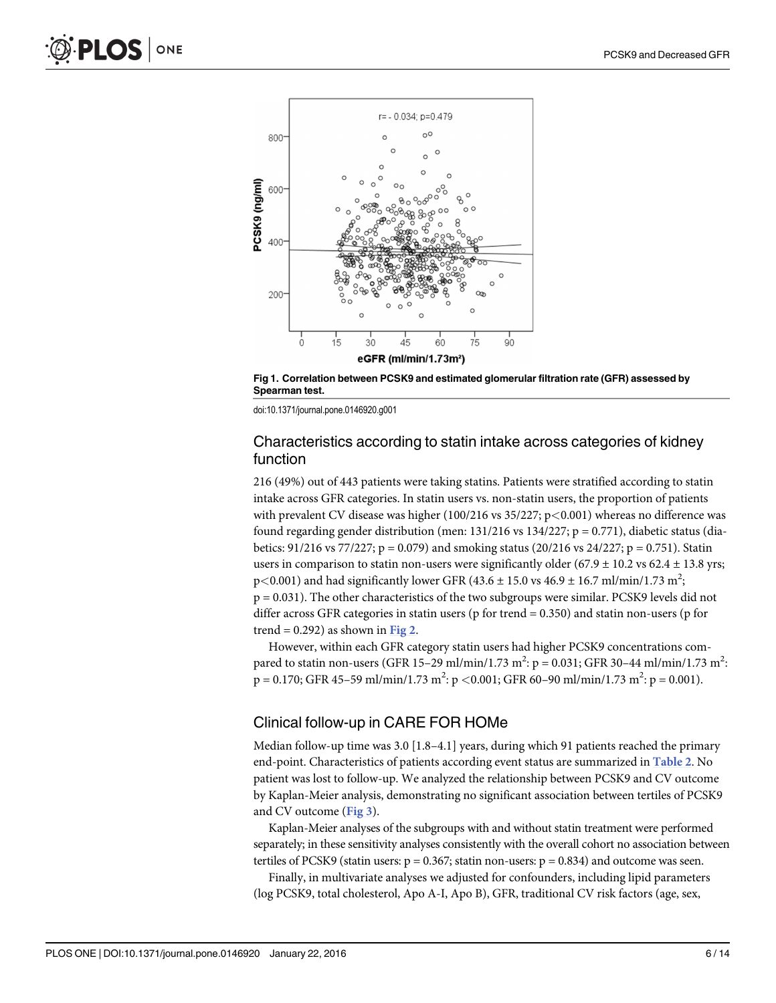

Fig 1. Correlation between PCSK9 and estimated glomerular filtration rate (GFR) assessed by Spearman test.

#### Characteristics according to statin intake across categories of kidney function

216 (49%) out of 443 patients were taking statins. Patients were stratified according to statin intake across GFR categories. In statin users vs. non-statin users, the proportion of patients with prevalent CV disease was higher (100/216 vs 35/227; p<0.001) whereas no difference was found regarding gender distribution (men:  $131/216$  vs  $134/227$ ;  $p = 0.771$ ), diabetic status (diabetics:  $91/216$  vs  $77/227$ ; p = 0.079) and smoking status  $(20/216$  vs  $24/227$ ; p = 0.751). Statin users in comparison to statin non-users were significantly older  $(67.9 \pm 10.2 \text{ vs } 62.4 \pm 13.8 \text{ yrs})$ p<0.001) and had significantly lower GFR (43.6  $\pm$  15.0 vs 46.9  $\pm$  16.7 ml/min/1.73 m<sup>2</sup>; p = 0.031). The other characteristics of the two subgroups were similar. PCSK9 levels did not differ across GFR categories in statin users (p for trend = 0.350) and statin non-users (p for trend =  $0.292$ ) as shown in Fig 2.

However, within each GFR category statin users had higher PCSK9 concentrations compared to statin non-users (GFR 15–29 ml/min/1.73 m<sup>2</sup>: p = 0.031; GFR 30–44 ml/min/1.73 m<sup>2</sup>:  $p = 0.170$ ; GFR 45–59 ml/min/1.73 m<sup>2</sup>:  $p < 0.001$ ; GFR 60–90 ml/min/1.73 m<sup>2</sup>:  $p = 0.001$ ).

#### Clinical follow-up in CARE FOR HOMe

Median follow-up time was 3.0 [1.8–4.1] years, during which 91 patients reached the primary end-point. Characteristics of patients according event status are summarized in Table 2. No patient was lost to follow-up. We analyzed the relationship between PCSK9 and CV outcome by Kaplan-Meier analysis, demonstrating no significant association between tertiles of PCSK9 and CV outcome (Fig 3).

Kaplan-Meier analyses of the subgroups with and without statin treatment were performed separately; in these sensitivity analyses consistently with the overall cohort no association between tertiles of PCSK9 (statin users:  $p = 0.367$ ; statin non-users:  $p = 0.834$ ) and outcome was seen.

Finally, in multivariate analyses we adjusted for confounders, including lipid parameters (log PCSK9, total cholesterol, Apo A-I, Apo B), GFR, traditional CV risk factors (age, sex,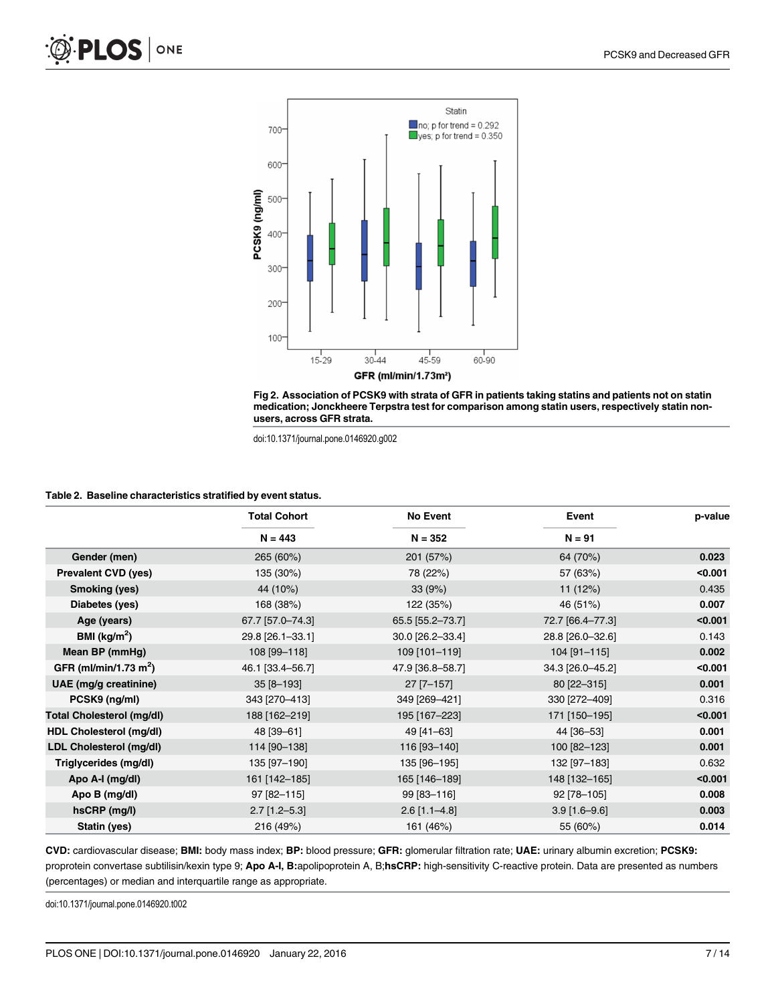



#### Table 2. Baseline characteristics stratified by event status.

|                                   | <b>Total Cohort</b> | No Event         | Event            | p-value |
|-----------------------------------|---------------------|------------------|------------------|---------|
|                                   | $N = 443$           | $N = 352$        | $N = 91$         |         |
| Gender (men)                      | 265 (60%)           | 201 (57%)        | 64 (70%)         | 0.023   |
| <b>Prevalent CVD (yes)</b>        | 135 (30%)           | 78 (22%)         | 57 (63%)         | < 0.001 |
| Smoking (yes)                     | 44 (10%)            | 33(9%)           | 11(12%)          | 0.435   |
| Diabetes (yes)                    | 168 (38%)           | 122 (35%)        | 46 (51%)         | 0.007   |
| Age (years)                       | 67.7 [57.0-74.3]    | 65.5 [55.2-73.7] | 72.7 [66.4-77.3] | < 0.001 |
| BMI ( $\text{kg/m}^2$ )           | 29.8 [26.1-33.1]    | 30.0 [26.2-33.4] | 28.8 [26.0-32.6] | 0.143   |
| Mean BP (mmHg)                    | 108 [99-118]        | 109 [101-119]    | 104 [91-115]     | 0.002   |
| GFR (ml/min/1.73 m <sup>2</sup> ) | 46.1 [33.4-56.7]    | 47.9 [36.8-58.7] | 34.3 [26.0-45.2] | < 0.001 |
| UAE (mg/g creatinine)             | 35 [8-193]          | $27$ [7-157]     | 80 [22-315]      | 0.001   |
| PCSK9 (ng/ml)                     | 343 [270-413]       | 349 [269-421]    | 330 [272-409]    | 0.316   |
| <b>Total Cholesterol (mg/dl)</b>  | 188 [162-219]       | 195 [167-223]    | 171 [150-195]    | < 0.001 |
| HDL Cholesterol (mg/dl)           | 48 [39-61]          | 49 [41-63]       | 44 [36-53]       | 0.001   |
| LDL Cholesterol (mg/dl)           | 114 [90-138]        | 116 [93-140]     | 100 [82-123]     | 0.001   |
| Triglycerides (mg/dl)             | 135 [97-190]        | 135 [96-195]     | 132 [97-183]     | 0.632   |
| Apo A-I (mg/dl)                   | 161 [142-185]       | 165 [146-189]    | 148 [132-165]    | < 0.001 |
| Apo B (mg/dl)                     | 97 [82-115]         | 99 [83-116]      | 92 [78-105]      | 0.008   |
| hsCRP (mg/l)                      | $2.7$ [1.2-5.3]     | $2.6$ [1.1-4.8]  | $3.9$ [1.6-9.6]  | 0.003   |
| Statin (yes)                      | 216 (49%)           | 161 (46%)        | 55 (60%)         | 0.014   |

CVD: cardiovascular disease; BMI: body mass index; BP: blood pressure; GFR: glomerular filtration rate; UAE: urinary albumin excretion; PCSK9: proprotein convertase subtilisin/kexin type 9; Apo A-I, B:apolipoprotein A, B;hsCRP: high-sensitivity C-reactive protein. Data are presented as numbers (percentages) or median and interquartile range as appropriate.

doi:10.1371/journal.pone.0146920.t002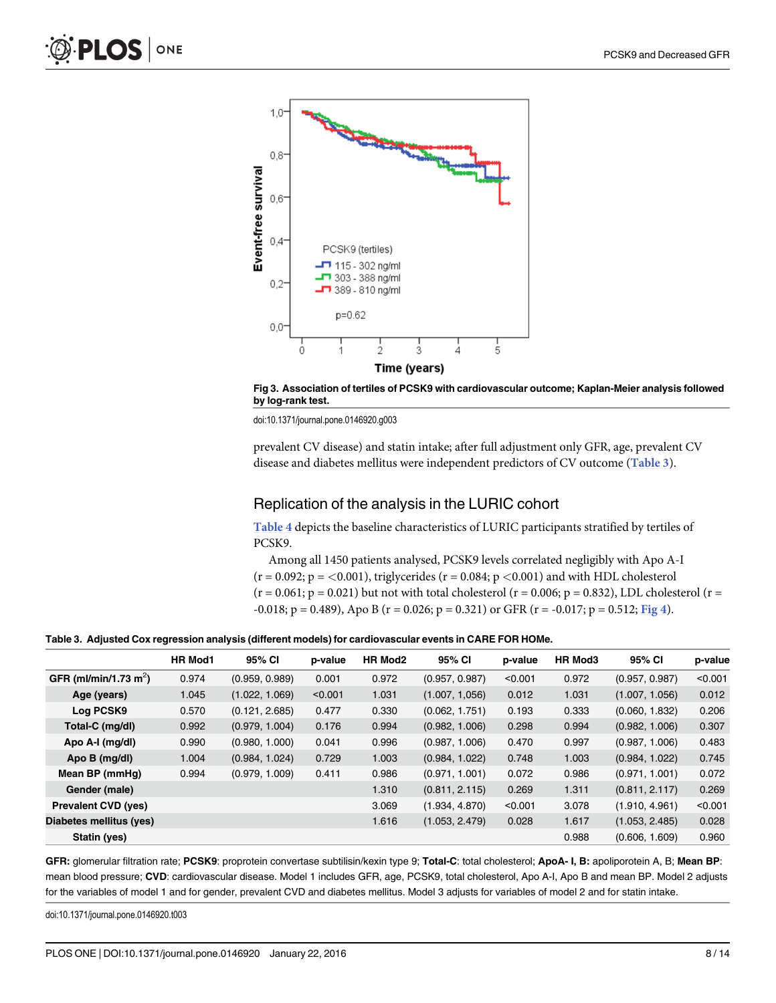

Fig 3. Association of tertiles of PCSK9 with cardiovascular outcome; Kaplan-Meier analysis followed by log-rank test.

prevalent CV disease) and statin intake; after full adjustment only GFR, age, prevalent CV disease and diabetes mellitus were independent predictors of CV outcome (Table 3).

#### Replication of the analysis in the LURIC cohort

Table 4 depicts the baseline characteristics of LURIC participants stratified by tertiles of PCSK9.

Among all 1450 patients analysed, PCSK9 levels correlated negligibly with Apo A-I  $(r = 0.092; p = <0.001)$ , triglycerides  $(r = 0.084; p < 0.001)$  and with HDL cholesterol  $(r = 0.061; p = 0.021)$  but not with total cholesterol  $(r = 0.006; p = 0.832)$ , LDL cholesterol  $(r = 0.061; p = 0.021)$  $-0.018$ ; p = 0.489), Apo B (r = 0.026; p = 0.321) or GFR (r =  $-0.017$ ; p = 0.512; Fig 4).

Table 3. Adjusted Cox regression analysis (different models) for cardiovascular events in CARE FOR HOMe.

|                                   | <b>HR Mod1</b> | 95% CI         | p-value | HR Mod2 | 95% CI         | p-value | <b>HR Mod3</b> | 95% CI         | p-value |
|-----------------------------------|----------------|----------------|---------|---------|----------------|---------|----------------|----------------|---------|
| GFR (ml/min/1.73 m <sup>2</sup> ) | 0.974          | (0.959, 0.989) | 0.001   | 0.972   | (0.957, 0.987) | < 0.001 | 0.972          | (0.957, 0.987) | < 0.001 |
| Age (years)                       | 1.045          | (1.022, 1.069) | < 0.001 | 1.031   | (1.007, 1.056) | 0.012   | 1.031          | (1.007, 1.056) | 0.012   |
| Log PCSK9                         | 0.570          | (0.121, 2.685) | 0.477   | 0.330   | (0.062, 1.751) | 0.193   | 0.333          | (0.060, 1.832) | 0.206   |
| Total-C (mg/dl)                   | 0.992          | (0.979, 1.004) | 0.176   | 0.994   | (0.982, 1.006) | 0.298   | 0.994          | (0.982, 1.006) | 0.307   |
| Apo A-I (mg/dl)                   | 0.990          | (0.980, 1.000) | 0.041   | 0.996   | (0.987, 1.006) | 0.470   | 0.997          | (0.987, 1.006) | 0.483   |
| Apo B (mg/dl)                     | 1.004          | (0.984, 1.024) | 0.729   | 1.003   | (0.984, 1.022) | 0.748   | 1.003          | (0.984, 1.022) | 0.745   |
| Mean BP (mmHg)                    | 0.994          | (0.979, 1.009) | 0.411   | 0.986   | (0.971, 1.001) | 0.072   | 0.986          | (0.971, 1.001) | 0.072   |
| Gender (male)                     |                |                |         | 1.310   | (0.811, 2.115) | 0.269   | 1.311          | (0.811, 2.117) | 0.269   |
| <b>Prevalent CVD (yes)</b>        |                |                |         | 3.069   | (1.934, 4.870) | < 0.001 | 3.078          | (1.910, 4.961) | < 0.001 |
| Diabetes mellitus (yes)           |                |                |         | 1.616   | (1.053, 2.479) | 0.028   | 1.617          | (1.053, 2.485) | 0.028   |
| Statin (yes)                      |                |                |         |         |                |         | 0.988          | (0.606, 1.609) | 0.960   |

GFR: glomerular filtration rate; PCSK9: proprotein convertase subtilisin/kexin type 9; Total-C: total cholesterol; ApoA- I, B: apoliporotein A, B; Mean BP: mean blood pressure; CVD: cardiovascular disease. Model 1 includes GFR, age, PCSK9, total cholesterol, Apo A-I, Apo B and mean BP. Model 2 adjusts for the variables of model 1 and for gender, prevalent CVD and diabetes mellitus. Model 3 adjusts for variables of model 2 and for statin intake.

doi:10.1371/journal.pone.0146920.t003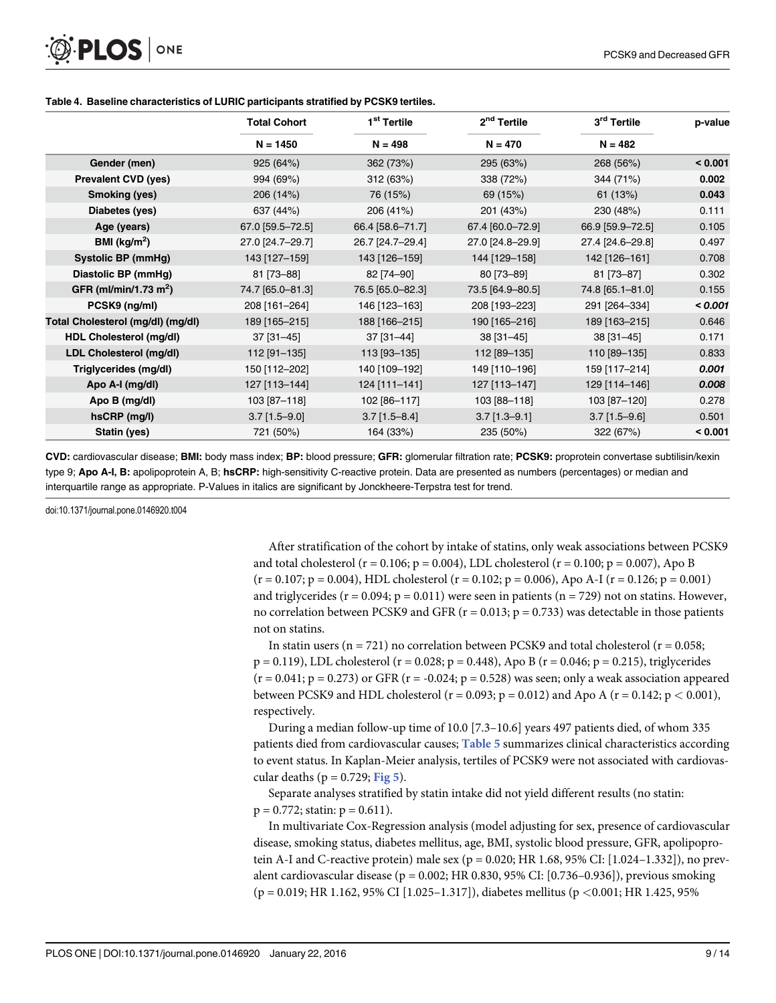

|                                   | <b>Total Cohort</b> | 1 <sup>st</sup> Tertile | 2 <sup>nd</sup> Tertile | 3rd Tertile      | p-value |
|-----------------------------------|---------------------|-------------------------|-------------------------|------------------|---------|
|                                   | $N = 1450$          | $N = 498$               | $N = 470$               | $N = 482$        |         |
| Gender (men)                      | 925 (64%)           | 362 (73%)               | 295 (63%)               | 268 (56%)        | < 0.001 |
| <b>Prevalent CVD (yes)</b>        | 994 (69%)           | 312 (63%)               | 338 (72%)               | 344 (71%)        | 0.002   |
| Smoking (yes)                     | 206 (14%)           | 76 (15%)                | 69 (15%)                | 61(13%)          | 0.043   |
| Diabetes (yes)                    | 637 (44%)           | 206 (41%)               | 201 (43%)               | 230 (48%)        | 0.111   |
| Age (years)                       | 67.0 [59.5-72.5]    | 66.4 [58.6-71.7]        | 67.4 [60.0-72.9]        | 66.9 [59.9-72.5] | 0.105   |
| BMI ( $kg/m2$ )                   | 27.0 [24.7-29.7]    | 26.7 [24.7-29.4]        | 27.0 [24.8-29.9]        | 27.4 [24.6-29.8] | 0.497   |
| Systolic BP (mmHg)                | 143 [127-159]       | 143 [126-159]           | 144 [129-158]           | 142 [126-161]    | 0.708   |
| Diastolic BP (mmHg)               | 81 [73-88]          | 82 [74-90]              | 80 [73-89]              | 81 [73-87]       | 0.302   |
| GFR (ml/min/1.73 m <sup>2</sup> ) | 74.7 [65.0-81.3]    | 76.5 [65.0-82.3]        | 73.5 [64.9-80.5]        | 74.8 [65.1-81.0] | 0.155   |
| PCSK9 (ng/ml)                     | 208 [161-264]       | 146 [123-163]           | 208 [193-223]           | 291 [264-334]    | < 0.001 |
| Total Cholesterol (mg/dl) (mg/dl) | 189 [165-215]       | 188 [166-215]           | 190 [165-216]           | 189 [163-215]    | 0.646   |
| HDL Cholesterol (mg/dl)           | $37$ [31-45]        | $37$ [31-44]            | $38[31-45]$             | $38$ [31-45]     | 0.171   |
| LDL Cholesterol (mg/dl)           | 112 [91-135]        | 113 [93-135]            | 112 [89-135]            | 110 [89-135]     | 0.833   |
| Triglycerides (mg/dl)             | 150 [112-202]       | 140 [109-192]           | 149 [110-196]           | 159 [117-214]    | 0.001   |
| Apo A-I (mg/dl)                   | 127 [113-144]       | 124 [111-141]           | 127 [113-147]           | 129 [114-146]    | 0.008   |
| Apo B (mg/dl)                     | 103 [87-118]        | 102 [86-117]            | 103 [88-118]            | 103 [87-120]     | 0.278   |
| hsCRP (mg/l)                      | $3.7$ [1.5-9.0]     | $3.7$ [1.5-8.4]         | $3.7$ [1.3-9.1]         | $3.7$ [1.5-9.6]  | 0.501   |
| Statin (yes)                      | 721 (50%)           | 164 (33%)               | 235 (50%)               | 322 (67%)        | < 0.001 |

#### Table 4. Baseline characteristics of LURIC participants stratified by PCSK9 tertiles.

CVD: cardiovascular disease; BMI: body mass index; BP: blood pressure; GFR: glomerular filtration rate; PCSK9: proprotein convertase subtilisin/kexin type 9; Apo A-I, B: apolipoprotein A, B; hsCRP: high-sensitivity C-reactive protein. Data are presented as numbers (percentages) or median and interquartile range as appropriate. P-Values in italics are significant by Jonckheere-Terpstra test for trend.

doi:10.1371/journal.pone.0146920.t004

After stratification of the cohort by intake of statins, only weak associations between PCSK9 and total cholesterol ( $r = 0.106$ ;  $p = 0.004$ ), LDL cholesterol ( $r = 0.100$ ;  $p = 0.007$ ), Apo B  $(r = 0.107; p = 0.004)$ , HDL cholesterol  $(r = 0.102; p = 0.006)$ , Apo A-I  $(r = 0.126; p = 0.001)$ and triglycerides ( $r = 0.094$ ;  $p = 0.011$ ) were seen in patients ( $n = 729$ ) not on statins. However, no correlation between PCSK9 and GFR ( $r = 0.013$ ;  $p = 0.733$ ) was detectable in those patients not on statins.

In statin users (n = 721) no correlation between PCSK9 and total cholesterol ( $r = 0.058$ ;  $p = 0.119$ ), LDL cholesterol ( $r = 0.028$ ;  $p = 0.448$ ), Apo B ( $r = 0.046$ ;  $p = 0.215$ ), triglycerides  $(r = 0.041; p = 0.273)$  or GFR  $(r = -0.024; p = 0.528)$  was seen; only a weak association appeared between PCSK9 and HDL cholesterol ( $r = 0.093$ ;  $p = 0.012$ ) and Apo A ( $r = 0.142$ ;  $p < 0.001$ ), respectively.

During a median follow-up time of 10.0 [7.3–10.6] years 497 patients died, of whom 335 patients died from cardiovascular causes; Table 5 summarizes clinical characteristics according to event status. In Kaplan-Meier analysis, tertiles of PCSK9 were not associated with cardiovascular deaths ( $p = 0.729$ ; Fig 5).

Separate analyses stratified by statin intake did not yield different results (no statin:  $p = 0.772$ ; statin:  $p = 0.611$ ).

In multivariate Cox-Regression analysis (model adjusting for sex, presence of cardiovascular disease, smoking status, diabetes mellitus, age, BMI, systolic blood pressure, GFR, apolipoprotein A-I and C-reactive protein) male sex ( $p = 0.020$ ; HR 1.68, 95% CI: [1.024–1.332]), no prevalent cardiovascular disease (p = 0.002; HR 0.830, 95% CI: [0.736–0.936]), previous smoking (p = 0.019; HR 1.162, 95% CI [1.025–1.317]), diabetes mellitus (p <0.001; HR 1.425, 95%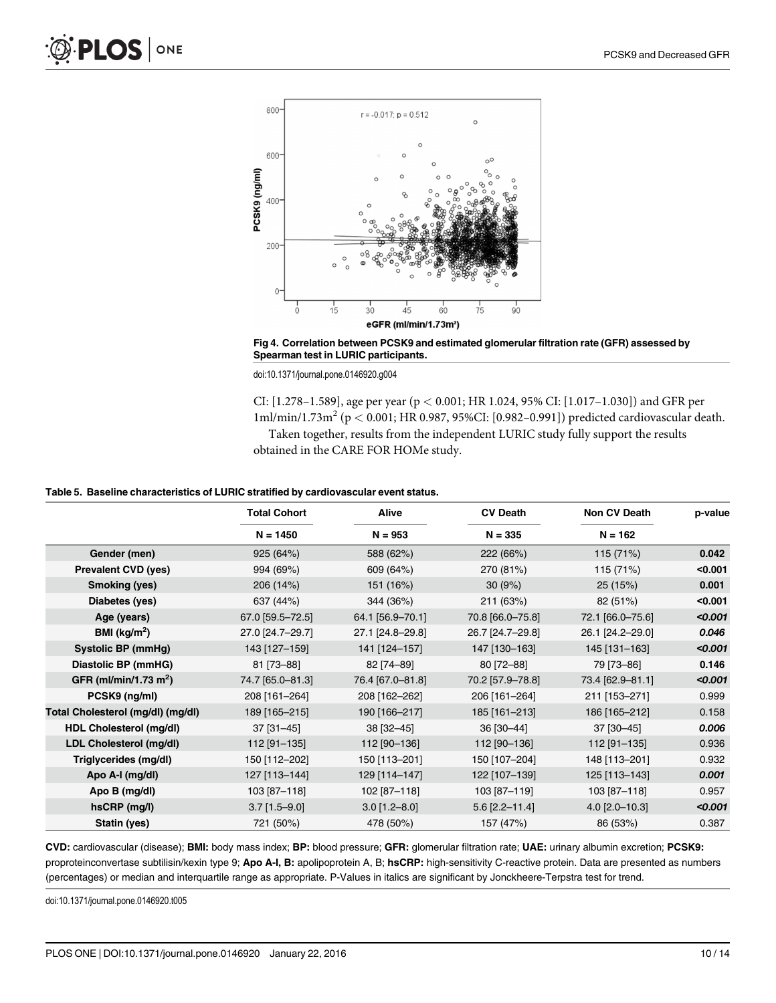

Fig 4. Correlation between PCSK9 and estimated glomerular filtration rate (GFR) assessed by Spearman test in LURIC participants.

CI: [1.278–1.589], age per year (p < 0.001; HR 1.024, 95% CI: [1.017–1.030]) and GFR per 1ml/min/1.73m<sup>2</sup> (p < 0.001; HR 0.987, 95%CI: [0.982-0.991]) predicted cardiovascular death. Taken together, results from the independent LURIC study fully support the results obtained in the CARE FOR HOMe study.

#### Table 5. Baseline characteristics of LURIC stratified by cardiovascular event status.

|                                   | <b>Total Cohort</b> | Alive            | <b>CV Death</b>  | Non CV Death     | p-value |
|-----------------------------------|---------------------|------------------|------------------|------------------|---------|
|                                   | $N = 1450$          | $N = 953$        | $N = 335$        | $N = 162$        |         |
| Gender (men)                      | 925 (64%)           | 588 (62%)        | 222 (66%)        | 115 (71%)        | 0.042   |
| <b>Prevalent CVD (yes)</b>        | 994 (69%)           | 609 (64%)        | 270 (81%)        | 115 (71%)        | < 0.001 |
| <b>Smoking (yes)</b>              | 206 (14%)           | 151 (16%)        | 30(9%)           | 25 (15%)         | 0.001   |
| Diabetes (yes)                    | 637 (44%)           | 344 (36%)        | 211 (63%)        | 82 (51%)         | < 0.001 |
| Age (years)                       | 67.0 [59.5-72.5]    | 64.1 [56.9-70.1] | 70.8 [66.0-75.8] | 72.1 [66.0-75.6] | < 0.001 |
| BMI ( $\text{kg/m}^2$ )           | 27.0 [24.7-29.7]    | 27.1 [24.8-29.8] | 26.7 [24.7-29.8] | 26.1 [24.2-29.0] | 0.046   |
| <b>Systolic BP (mmHg)</b>         | 143 [127-159]       | 141 [124-157]    | 147 [130-163]    | 145 [131-163]    | < 0.001 |
| Diastolic BP (mmHG)               | 81 [73-88]          | 82 [74-89]       | 80 [72-88]       | 79 [73-86]       | 0.146   |
| GFR (ml/min/1.73 m <sup>2</sup> ) | 74.7 [65.0-81.3]    | 76.4 [67.0-81.8] | 70.2 [57.9-78.8] | 73.4 [62.9-81.1] | < 0.001 |
| PCSK9 (ng/ml)                     | 208 [161-264]       | 208 [162-262]    | 206 [161-264]    | 211 [153-271]    | 0.999   |
| Total Cholesterol (mg/dl) (mg/dl) | 189 [165-215]       | 190 [166-217]    | 185 [161-213]    | 186 [165-212]    | 0.158   |
| <b>HDL Cholesterol (mg/dl)</b>    | $37$ [31-45]        | 38 [32-45]       | 36 [30-44]       | 37 [30-45]       | 0.006   |
| LDL Cholesterol (mg/dl)           | 112 [91-135]        | 112 [90-136]     | 112 [90-136]     | 112 [91-135]     | 0.936   |
| Triglycerides (mg/dl)             | 150 [112-202]       | 150 [113-201]    | 150 [107-204]    | 148 [113-201]    | 0.932   |
| Apo A-I (mg/dl)                   | 127 [113-144]       | 129 [114-147]    | 122 [107-139]    | 125 [113-143]    | 0.001   |
| Apo B (mg/dl)                     | 103 [87-118]        | 102 [87-118]     | 103 [87-119]     | 103 [87-118]     | 0.957   |
| hsCRP (mg/l)                      | $3.7$ [1.5-9.0]     | $3.0$ [1.2-8.0]  | $5.6$ [2.2-11.4] | $4.0$ [2.0-10.3] | < 0.001 |
| Statin (yes)                      | 721 (50%)           | 478 (50%)        | 157 (47%)        | 86 (53%)         | 0.387   |

CVD: cardiovascular (disease); BMI: body mass index; BP: blood pressure; GFR: glomerular filtration rate; UAE: urinary albumin excretion; PCSK9: proproteinconvertase subtilisin/kexin type 9; Apo A-I, B: apolipoprotein A, B; hsCRP: high-sensitivity C-reactive protein. Data are presented as numbers (percentages) or median and interquartile range as appropriate. P-Values in italics are significant by Jonckheere-Terpstra test for trend.

doi:10.1371/journal.pone.0146920.t005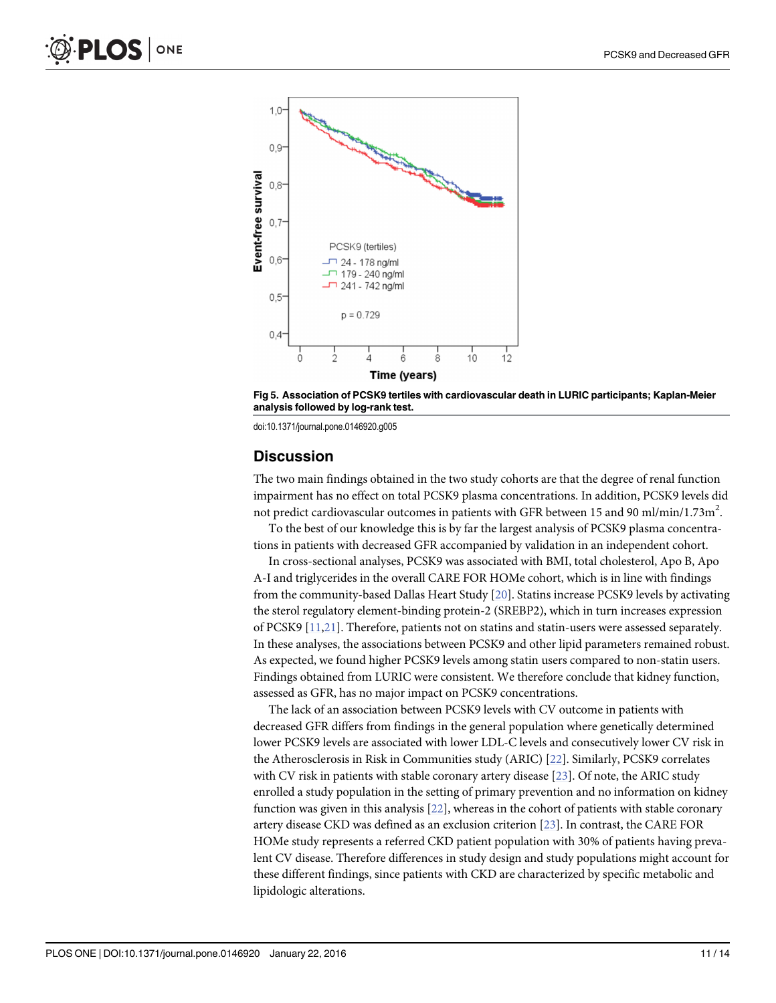



#### **Discussion**

The two main findings obtained in the two study cohorts are that the degree of renal function impairment has no effect on total PCSK9 plasma concentrations. In addition, PCSK9 levels did not predict cardiovascular outcomes in patients with GFR between 15 and 90 ml/min/1.73m<sup>2</sup>.

To the best of our knowledge this is by far the largest analysis of PCSK9 plasma concentrations in patients with decreased GFR accompanied by validation in an independent cohort.

In cross-sectional analyses, PCSK9 was associated with BMI, total cholesterol, Apo B, Apo A-I and triglycerides in the overall CARE FOR HOMe cohort, which is in line with findings from the community-based Dallas Heart Study [20]. Statins increase PCSK9 levels by activating the sterol regulatory element-binding protein-2 (SREBP2), which in turn increases expression of PCSK9 [11,21]. Therefore, patients not on statins and statin-users were assessed separately. In these analyses, the associations between PCSK9 and other lipid parameters remained robust. As expected, we found higher PCSK9 levels among statin users compared to non-statin users. Findings obtained from LURIC were consistent. We therefore conclude that kidney function, assessed as GFR, has no major impact on PCSK9 concentrations.

The lack of an association between PCSK9 levels with CV outcome in patients with decreased GFR differs from findings in the general population where genetically determined lower PCSK9 levels are associated with lower LDL-C levels and consecutively lower CV risk in the Atherosclerosis in Risk in Communities study (ARIC) [22]. Similarly, PCSK9 correlates with CV risk in patients with stable coronary artery disease [23]. Of note, the ARIC study enrolled a study population in the setting of primary prevention and no information on kidney function was given in this analysis [22], whereas in the cohort of patients with stable coronary artery disease CKD was defined as an exclusion criterion [23]. In contrast, the CARE FOR HOMe study represents a referred CKD patient population with 30% of patients having prevalent CV disease. Therefore differences in study design and study populations might account for these different findings, since patients with CKD are characterized by specific metabolic and lipidologic alterations.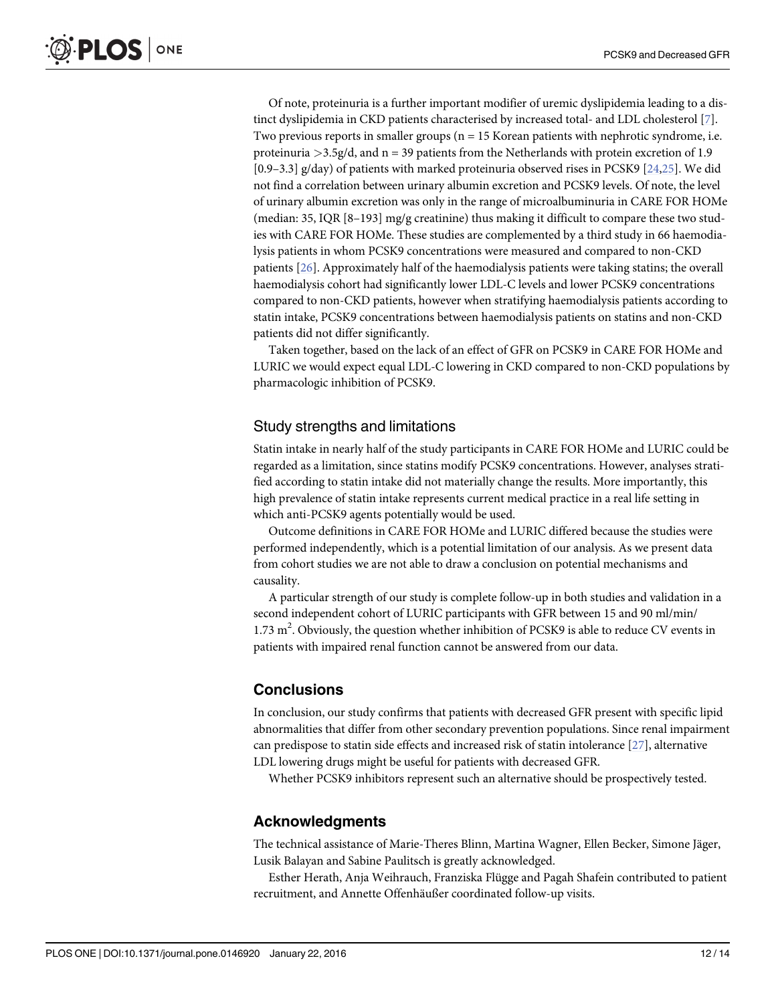Of note, proteinuria is a further important modifier of uremic dyslipidemia leading to a distinct dyslipidemia in CKD patients characterised by increased total- and LDL cholesterol [7]. Two previous reports in smaller groups ( $n = 15$  Korean patients with nephrotic syndrome, i.e. proteinuria  $>$ 3.5g/d, and n = 39 patients from the Netherlands with protein excretion of 1.9 [0.9–3.3] g/day) of patients with marked proteinuria observed rises in PCSK9 [24,25]. We did not find a correlation between urinary albumin excretion and PCSK9 levels. Of note, the level of urinary albumin excretion was only in the range of microalbuminuria in CARE FOR HOMe (median: 35, IQR [8–193] mg/g creatinine) thus making it difficult to compare these two studies with CARE FOR HOMe. These studies are complemented by a third study in 66 haemodialysis patients in whom PCSK9 concentrations were measured and compared to non-CKD patients [26]. Approximately half of the haemodialysis patients were taking statins; the overall haemodialysis cohort had significantly lower LDL-C levels and lower PCSK9 concentrations compared to non-CKD patients, however when stratifying haemodialysis patients according to statin intake, PCSK9 concentrations between haemodialysis patients on statins and non-CKD patients did not differ significantly.

Taken together, based on the lack of an effect of GFR on PCSK9 in CARE FOR HOMe and LURIC we would expect equal LDL-C lowering in CKD compared to non-CKD populations by pharmacologic inhibition of PCSK9.

#### Study strengths and limitations

Statin intake in nearly half of the study participants in CARE FOR HOMe and LURIC could be regarded as a limitation, since statins modify PCSK9 concentrations. However, analyses stratified according to statin intake did not materially change the results. More importantly, this high prevalence of statin intake represents current medical practice in a real life setting in which anti-PCSK9 agents potentially would be used.

Outcome definitions in CARE FOR HOMe and LURIC differed because the studies were performed independently, which is a potential limitation of our analysis. As we present data from cohort studies we are not able to draw a conclusion on potential mechanisms and causality.

A particular strength of our study is complete follow-up in both studies and validation in a second independent cohort of LURIC participants with GFR between 15 and 90 ml/min/ 1.73  $m^2$ . Obviously, the question whether inhibition of PCSK9 is able to reduce CV events in patients with impaired renal function cannot be answered from our data.

#### **Conclusions**

In conclusion, our study confirms that patients with decreased GFR present with specific lipid abnormalities that differ from other secondary prevention populations. Since renal impairment can predispose to statin side effects and increased risk of statin intolerance [27], alternative LDL lowering drugs might be useful for patients with decreased GFR.

Whether PCSK9 inhibitors represent such an alternative should be prospectively tested.

#### Acknowledgments

The technical assistance of Marie-Theres Blinn, Martina Wagner, Ellen Becker, Simone Jäger, Lusik Balayan and Sabine Paulitsch is greatly acknowledged.

Esther Herath, Anja Weihrauch, Franziska Flügge and Pagah Shafein contributed to patient recruitment, and Annette Offenhäußer coordinated follow-up visits.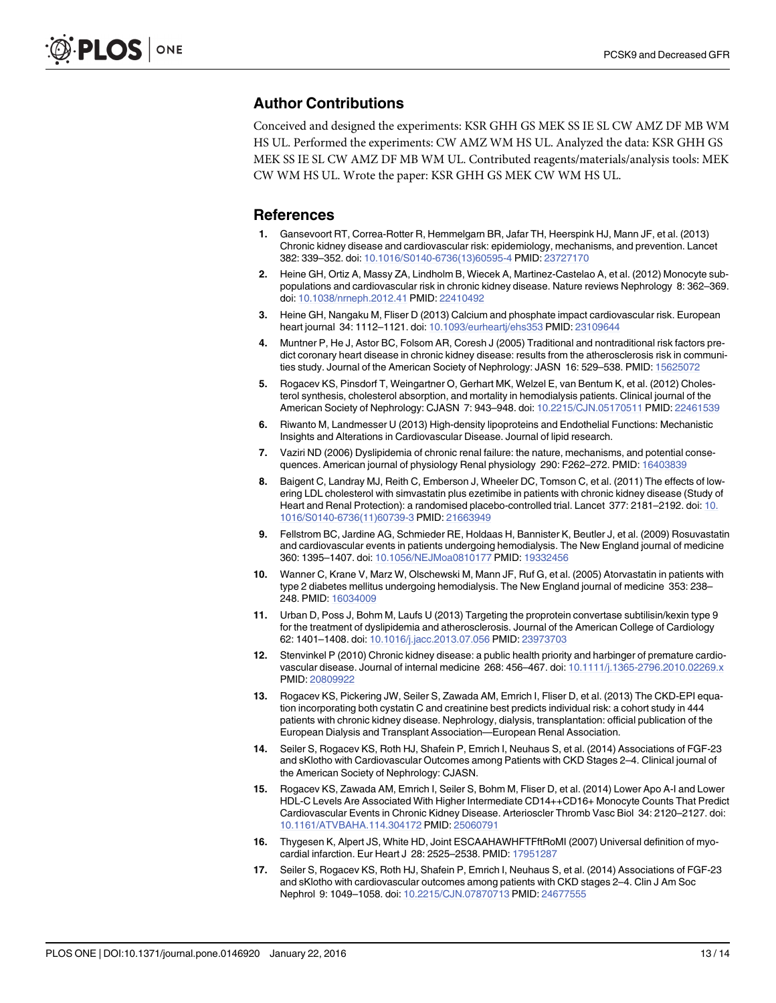### <span id="page-12-0"></span>Author Contributions

Conceived and designed the experiments: KSR GHH GS MEK SS IE SL CW AMZ DF MB WM HS UL. Performed the experiments: CW AMZ WM HS UL. Analyzed the data: KSR GHH GS MEK SS IE SL CW AMZ DF MB WM UL. Contributed reagents/materials/analysis tools: MEK CW WM HS UL. Wrote the paper: KSR GHH GS MEK CW WM HS UL.

#### References

- 1. Gansevoort RT, Correa-Rotter R, Hemmelgarn BR, Jafar TH, Heerspink HJ, Mann JF, et al. (2013) Chronic kidney disease and cardiovascular risk: epidemiology, mechanisms, and prevention. Lancet 382: 339–352. doi: [10.1016/S0140-6736\(13\)60595-4](http://dx.doi.org/10.1016/S0140-6736(13)60595-4) PMID: [23727170](http://www.ncbi.nlm.nih.gov/pubmed/23727170)
- 2. Heine GH, Ortiz A, Massy ZA, Lindholm B, Wiecek A, Martinez-Castelao A, et al. (2012) Monocyte subpopulations and cardiovascular risk in chronic kidney disease. Nature reviews Nephrology 8: 362–369. doi: [10.1038/nrneph.2012.41](http://dx.doi.org/10.1038/nrneph.2012.41) PMID: [22410492](http://www.ncbi.nlm.nih.gov/pubmed/22410492)
- 3. Heine GH, Nangaku M, Fliser D (2013) Calcium and phosphate impact cardiovascular risk. European heart journal 34: 1112–1121. doi: [10.1093/eurheartj/ehs353](http://dx.doi.org/10.1093/eurheartj/ehs353) PMID: [23109644](http://www.ncbi.nlm.nih.gov/pubmed/23109644)
- 4. Muntner P, He J, Astor BC, Folsom AR, Coresh J (2005) Traditional and nontraditional risk factors predict coronary heart disease in chronic kidney disease: results from the atherosclerosis risk in communities study. Journal of the American Society of Nephrology: JASN 16: 529–538. PMID: [15625072](http://www.ncbi.nlm.nih.gov/pubmed/15625072)
- 5. Rogacev KS, Pinsdorf T, Weingartner O, Gerhart MK, Welzel E, van Bentum K, et al. (2012) Cholesterol synthesis, cholesterol absorption, and mortality in hemodialysis patients. Clinical journal of the American Society of Nephrology: CJASN 7: 943–948. doi: [10.2215/CJN.05170511](http://dx.doi.org/10.2215/CJN.05170511) PMID: [22461539](http://www.ncbi.nlm.nih.gov/pubmed/22461539)
- 6. Riwanto M, Landmesser U (2013) High-density lipoproteins and Endothelial Functions: Mechanistic Insights and Alterations in Cardiovascular Disease. Journal of lipid research.
- 7. Vaziri ND (2006) Dyslipidemia of chronic renal failure: the nature, mechanisms, and potential consequences. American journal of physiology Renal physiology 290: F262–272. PMID: [16403839](http://www.ncbi.nlm.nih.gov/pubmed/16403839)
- 8. Baigent C, Landray MJ, Reith C, Emberson J, Wheeler DC, Tomson C, et al. (2011) The effects of lowering LDL cholesterol with simvastatin plus ezetimibe in patients with chronic kidney disease (Study of Heart and Renal Protection): a randomised placebo-controlled trial. Lancet 377: 2181–2192. doi: [10.](http://dx.doi.org/10.1016/S0140-6736(11)60739-3) [1016/S0140-6736\(11\)60739-3](http://dx.doi.org/10.1016/S0140-6736(11)60739-3) PMID: [21663949](http://www.ncbi.nlm.nih.gov/pubmed/21663949)
- 9. Fellstrom BC, Jardine AG, Schmieder RE, Holdaas H, Bannister K, Beutler J, et al. (2009) Rosuvastatin and cardiovascular events in patients undergoing hemodialysis. The New England journal of medicine 360: 1395–1407. doi: [10.1056/NEJMoa0810177](http://dx.doi.org/10.1056/NEJMoa0810177) PMID: [19332456](http://www.ncbi.nlm.nih.gov/pubmed/19332456)
- 10. Wanner C, Krane V, Marz W, Olschewski M, Mann JF, Ruf G, et al. (2005) Atorvastatin in patients with type 2 diabetes mellitus undergoing hemodialysis. The New England journal of medicine 353: 238– 248. PMID: [16034009](http://www.ncbi.nlm.nih.gov/pubmed/16034009)
- 11. Urban D, Poss J, Bohm M, Laufs U (2013) Targeting the proprotein convertase subtilisin/kexin type 9 for the treatment of dyslipidemia and atherosclerosis. Journal of the American College of Cardiology 62: 1401–1408. doi: [10.1016/j.jacc.2013.07.056](http://dx.doi.org/10.1016/j.jacc.2013.07.056) PMID: [23973703](http://www.ncbi.nlm.nih.gov/pubmed/23973703)
- 12. Stenvinkel P (2010) Chronic kidney disease: a public health priority and harbinger of premature cardiovascular disease. Journal of internal medicine 268: 456–467. doi: [10.1111/j.1365-2796.2010.02269.x](http://dx.doi.org/10.1111/j.1365-2796.2010.02269.x) PMID: [20809922](http://www.ncbi.nlm.nih.gov/pubmed/20809922)
- 13. Rogacev KS, Pickering JW, Seiler S, Zawada AM, Emrich I, Fliser D, et al. (2013) The CKD-EPI equation incorporating both cystatin C and creatinine best predicts individual risk: a cohort study in 444 patients with chronic kidney disease. Nephrology, dialysis, transplantation: official publication of the European Dialysis and Transplant Association—European Renal Association.
- 14. Seiler S, Rogacev KS, Roth HJ, Shafein P, Emrich I, Neuhaus S, et al. (2014) Associations of FGF-23 and sKlotho with Cardiovascular Outcomes among Patients with CKD Stages 2–4. Clinical journal of the American Society of Nephrology: CJASN.
- 15. Rogacev KS, Zawada AM, Emrich I, Seiler S, Bohm M, Fliser D, et al. (2014) Lower Apo A-I and Lower HDL-C Levels Are Associated With Higher Intermediate CD14++CD16+ Monocyte Counts That Predict Cardiovascular Events in Chronic Kidney Disease. Arterioscler Thromb Vasc Biol 34: 2120–2127. doi: [10.1161/ATVBAHA.114.304172](http://dx.doi.org/10.1161/ATVBAHA.114.304172) PMID: [25060791](http://www.ncbi.nlm.nih.gov/pubmed/25060791)
- 16. Thygesen K, Alpert JS, White HD, Joint ESCAAHAWHFTFftRoMI (2007) Universal definition of myocardial infarction. Eur Heart J 28: 2525–2538. PMID: [17951287](http://www.ncbi.nlm.nih.gov/pubmed/17951287)
- 17. Seiler S, Rogacev KS, Roth HJ, Shafein P, Emrich I, Neuhaus S, et al. (2014) Associations of FGF-23 and sKlotho with cardiovascular outcomes among patients with CKD stages 2–4. Clin J Am Soc Nephrol 9: 1049–1058. doi: [10.2215/CJN.07870713](http://dx.doi.org/10.2215/CJN.07870713) PMID: [24677555](http://www.ncbi.nlm.nih.gov/pubmed/24677555)